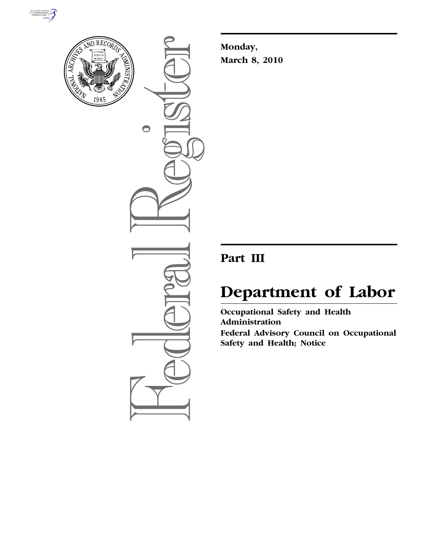



 $\bullet$ 

**Monday, March 8, 2010** 

# **Part III**

# **Department of Labor**

**Occupational Safety and Health Administration Federal Advisory Council on Occupational Safety and Health; Notice**